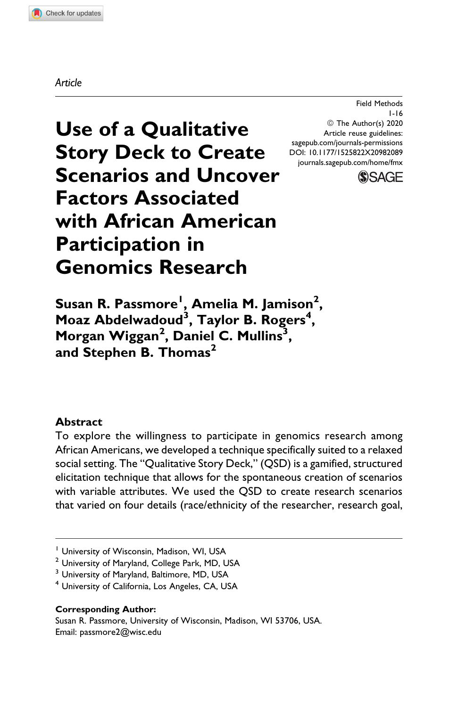#### *Article*

Field Methods 1-16 © The Author(s) 2020 Article reuse guidelines: [sagepub.com/journals-permissions](https://sagepub.com/journals-permissions) [DOI: 10.1177/1525822X20982089](https://doi.org/10.1177/1525822X20982089) [journals.sagepub.com/home/fmx](http://journals.sagepub.com/home/fmx)



**Use of a Qualitative Story Deck to Create Scenarios and Uncover Factors Associated with African American Participation in Genomics Research**

**Susan R. Passmore<sup>1</sup> , Amelia M. Jamison2 , Moaz Abdelwadoud<sup>3</sup> , Taylor B. Rogers<sup>4</sup> , Morgan Wiggan<sup>2</sup> , Daniel C. Mullins<sup>3</sup> , and Stephen B. Thomas<sup>2</sup>**

#### **Abstract**

To explore the willingness to participate in genomics research among African Americans, we developed a technique specifically suited to a relaxed social setting. The "Qualitative Story Deck," (QSD) is a gamified, structured elicitation technique that allows for the spontaneous creation of scenarios with variable attributes. We used the QSD to create research scenarios that varied on four details (race/ethnicity of the researcher, research goal,

<sup>&</sup>lt;sup>1</sup> University of Wisconsin, Madison, WI, USA

<sup>&</sup>lt;sup>2</sup> University of Maryland, College Park, MD, USA

<sup>&</sup>lt;sup>3</sup> University of Maryland, Baltimore, MD, USA

<sup>4</sup> University of California, Los Angeles, CA, USA

**Corresponding Author:**

Susan R. Passmore, University of Wisconsin, Madison, WI 53706, USA. Email: [passmore2@wisc.edu](mailto:passmore2@wisc.edu)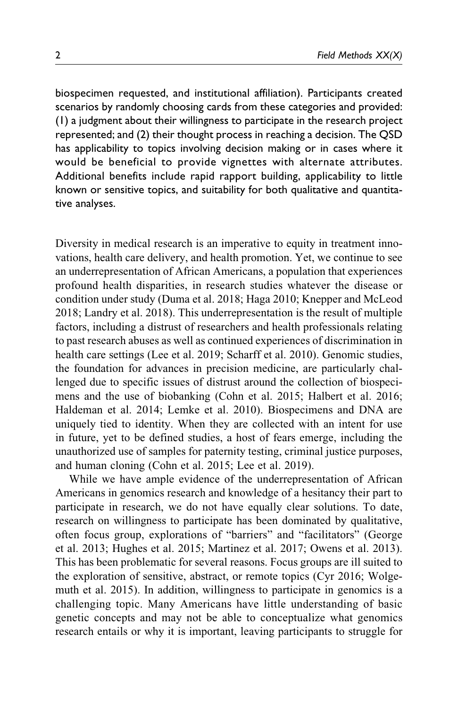biospecimen requested, and institutional affiliation). Participants created scenarios by randomly choosing cards from these categories and provided: (1) a judgment about their willingness to participate in the research project represented; and (2) their thought process in reaching a decision. The QSD has applicability to topics involving decision making or in cases where it would be beneficial to provide vignettes with alternate attributes. Additional benefits include rapid rapport building, applicability to little known or sensitive topics, and suitability for both qualitative and quantitative analyses.

Diversity in medical research is an imperative to equity in treatment innovations, health care delivery, and health promotion. Yet, we continue to see an underrepresentation of African Americans, a population that experiences profound health disparities, in research studies whatever the disease or condition under study (Duma et al. 2018; Haga 2010; Knepper and McLeod 2018; Landry et al. 2018). This underrepresentation is the result of multiple factors, including a distrust of researchers and health professionals relating to past research abuses as well as continued experiences of discrimination in health care settings (Lee et al. 2019; Scharff et al. 2010). Genomic studies, the foundation for advances in precision medicine, are particularly challenged due to specific issues of distrust around the collection of biospecimens and the use of biobanking (Cohn et al. 2015; Halbert et al. 2016; Haldeman et al. 2014; Lemke et al. 2010). Biospecimens and DNA are uniquely tied to identity. When they are collected with an intent for use in future, yet to be defined studies, a host of fears emerge, including the unauthorized use of samples for paternity testing, criminal justice purposes, and human cloning (Cohn et al. 2015; Lee et al. 2019).

While we have ample evidence of the underrepresentation of African Americans in genomics research and knowledge of a hesitancy their part to participate in research, we do not have equally clear solutions. To date, research on willingness to participate has been dominated by qualitative, often focus group, explorations of "barriers" and "facilitators" (George et al. 2013; Hughes et al. 2015; Martinez et al. 2017; Owens et al. 2013). This has been problematic for several reasons. Focus groups are ill suited to the exploration of sensitive, abstract, or remote topics (Cyr 2016; Wolgemuth et al. 2015). In addition, willingness to participate in genomics is a challenging topic. Many Americans have little understanding of basic genetic concepts and may not be able to conceptualize what genomics research entails or why it is important, leaving participants to struggle for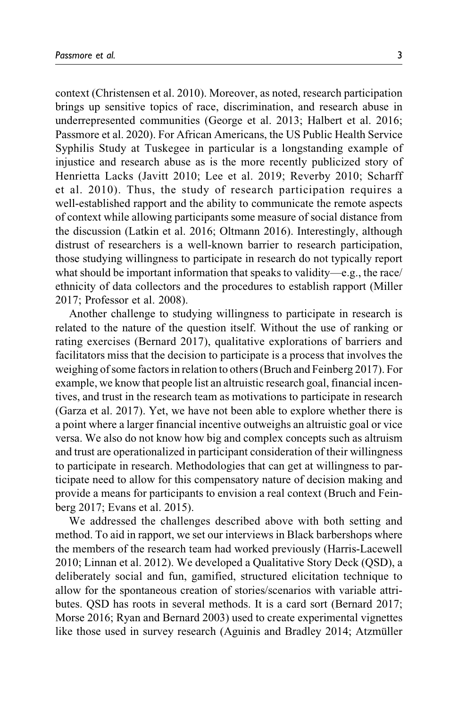context (Christensen et al. 2010). Moreover, as noted, research participation brings up sensitive topics of race, discrimination, and research abuse in underrepresented communities (George et al. 2013; Halbert et al. 2016; Passmore et al. 2020). For African Americans, the US Public Health Service Syphilis Study at Tuskegee in particular is a longstanding example of injustice and research abuse as is the more recently publicized story of Henrietta Lacks (Javitt 2010; Lee et al. 2019; Reverby 2010; Scharff et al. 2010). Thus, the study of research participation requires a well-established rapport and the ability to communicate the remote aspects of context while allowing participants some measure of social distance from the discussion (Latkin et al. 2016; Oltmann 2016). Interestingly, although distrust of researchers is a well-known barrier to research participation, those studying willingness to participate in research do not typically report what should be important information that speaks to validity—e.g., the race/ ethnicity of data collectors and the procedures to establish rapport (Miller 2017; Professor et al. 2008).

Another challenge to studying willingness to participate in research is related to the nature of the question itself. Without the use of ranking or rating exercises (Bernard 2017), qualitative explorations of barriers and facilitators miss that the decision to participate is a process that involves the weighing of some factors in relation to others (Bruch and Feinberg 2017). For example, we know that people list an altruistic research goal, financial incentives, and trust in the research team as motivations to participate in research (Garza et al. 2017). Yet, we have not been able to explore whether there is a point where a larger financial incentive outweighs an altruistic goal or vice versa. We also do not know how big and complex concepts such as altruism and trust are operationalized in participant consideration of their willingness to participate in research. Methodologies that can get at willingness to participate need to allow for this compensatory nature of decision making and provide a means for participants to envision a real context (Bruch and Feinberg 2017; Evans et al. 2015).

We addressed the challenges described above with both setting and method. To aid in rapport, we set our interviews in Black barbershops where the members of the research team had worked previously (Harris-Lacewell 2010; Linnan et al. 2012). We developed a Qualitative Story Deck (QSD), a deliberately social and fun, gamified, structured elicitation technique to allow for the spontaneous creation of stories/scenarios with variable attributes. QSD has roots in several methods. It is a card sort (Bernard 2017; Morse 2016; Ryan and Bernard 2003) used to create experimental vignettes like those used in survey research (Aguinis and Bradley 2014; Atzmüller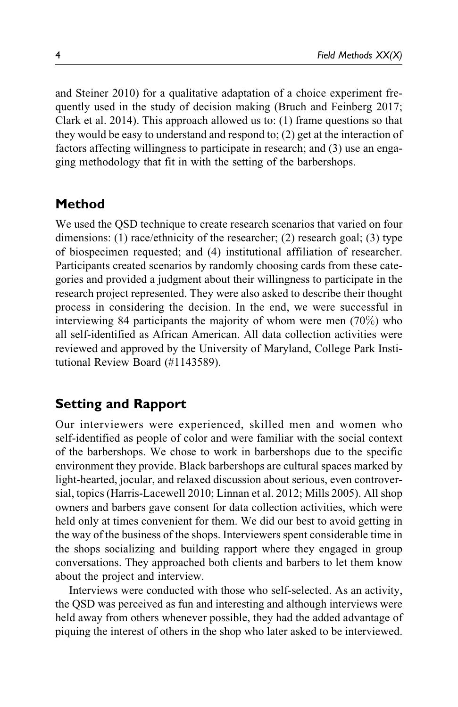and Steiner 2010) for a qualitative adaptation of a choice experiment frequently used in the study of decision making (Bruch and Feinberg 2017; Clark et al. 2014). This approach allowed us to: (1) frame questions so that they would be easy to understand and respond to; (2) get at the interaction of factors affecting willingness to participate in research; and (3) use an engaging methodology that fit in with the setting of the barbershops.

### **Method**

We used the QSD technique to create research scenarios that varied on four dimensions: (1) race/ethnicity of the researcher; (2) research goal; (3) type of biospecimen requested; and (4) institutional affiliation of researcher. Participants created scenarios by randomly choosing cards from these categories and provided a judgment about their willingness to participate in the research project represented. They were also asked to describe their thought process in considering the decision. In the end, we were successful in interviewing 84 participants the majority of whom were men  $(70\%)$  who all self-identified as African American. All data collection activities were reviewed and approved by the University of Maryland, College Park Institutional Review Board (#1143589).

### **Setting and Rapport**

Our interviewers were experienced, skilled men and women who self-identified as people of color and were familiar with the social context of the barbershops. We chose to work in barbershops due to the specific environment they provide. Black barbershops are cultural spaces marked by light-hearted, jocular, and relaxed discussion about serious, even controversial, topics (Harris-Lacewell 2010; Linnan et al. 2012; Mills 2005). All shop owners and barbers gave consent for data collection activities, which were held only at times convenient for them. We did our best to avoid getting in the way of the business of the shops. Interviewers spent considerable time in the shops socializing and building rapport where they engaged in group conversations. They approached both clients and barbers to let them know about the project and interview.

Interviews were conducted with those who self-selected. As an activity, the QSD was perceived as fun and interesting and although interviews were held away from others whenever possible, they had the added advantage of piquing the interest of others in the shop who later asked to be interviewed.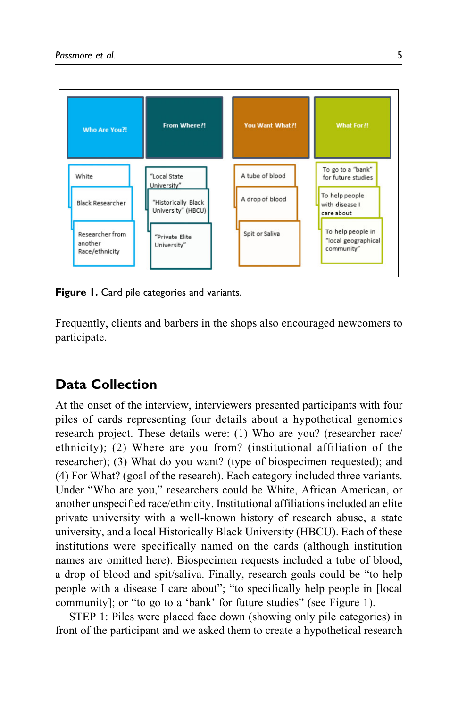

**Figure 1.** Card pile categories and variants.

Frequently, clients and barbers in the shops also encouraged newcomers to participate.

# **Data Collection**

At the onset of the interview, interviewers presented participants with four piles of cards representing four details about a hypothetical genomics research project. These details were: (1) Who are you? (researcher race/ ethnicity); (2) Where are you from? (institutional affiliation of the researcher); (3) What do you want? (type of biospecimen requested); and (4) For What? (goal of the research). Each category included three variants. Under "Who are you," researchers could be White, African American, or another unspecified race/ethnicity. Institutional affiliations included an elite private university with a well-known history of research abuse, a state university, and a local Historically Black University (HBCU). Each of these institutions were specifically named on the cards (although institution names are omitted here). Biospecimen requests included a tube of blood, a drop of blood and spit/saliva. Finally, research goals could be "to help people with a disease I care about"; "to specifically help people in [local community]; or "to go to a 'bank' for future studies" (see Figure 1).

STEP 1: Piles were placed face down (showing only pile categories) in front of the participant and we asked them to create a hypothetical research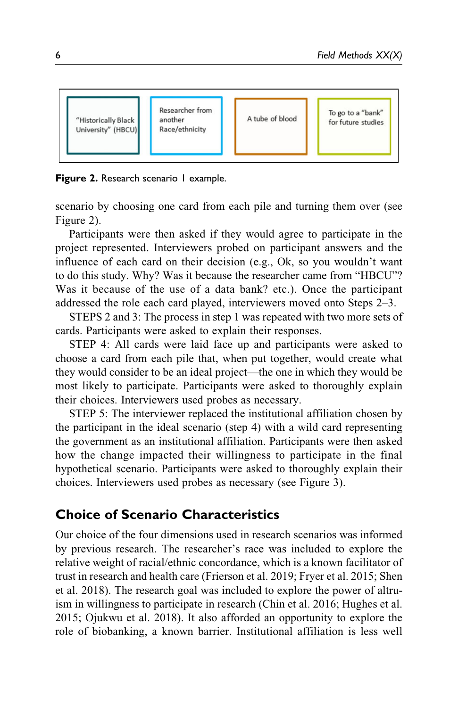

**Figure 2.** Research scenario 1 example.

scenario by choosing one card from each pile and turning them over (see Figure 2).

Participants were then asked if they would agree to participate in the project represented. Interviewers probed on participant answers and the influence of each card on their decision (e.g., Ok, so you wouldn't want to do this study. Why? Was it because the researcher came from "HBCU"? Was it because of the use of a data bank? etc.). Once the participant addressed the role each card played, interviewers moved onto Steps 2–3.

STEPS 2 and 3: The process in step 1 was repeated with two more sets of cards. Participants were asked to explain their responses.

STEP 4: All cards were laid face up and participants were asked to choose a card from each pile that, when put together, would create what they would consider to be an ideal project—the one in which they would be most likely to participate. Participants were asked to thoroughly explain their choices. Interviewers used probes as necessary.

STEP 5: The interviewer replaced the institutional affiliation chosen by the participant in the ideal scenario (step 4) with a wild card representing the government as an institutional affiliation. Participants were then asked how the change impacted their willingness to participate in the final hypothetical scenario. Participants were asked to thoroughly explain their choices. Interviewers used probes as necessary (see Figure 3).

# **Choice of Scenario Characteristics**

Our choice of the four dimensions used in research scenarios was informed by previous research. The researcher's race was included to explore the relative weight of racial/ethnic concordance, which is a known facilitator of trust in research and health care (Frierson et al. 2019; Fryer et al. 2015; Shen et al. 2018). The research goal was included to explore the power of altruism in willingness to participate in research (Chin et al. 2016; Hughes et al. 2015; Ojukwu et al. 2018). It also afforded an opportunity to explore the role of biobanking, a known barrier. Institutional affiliation is less well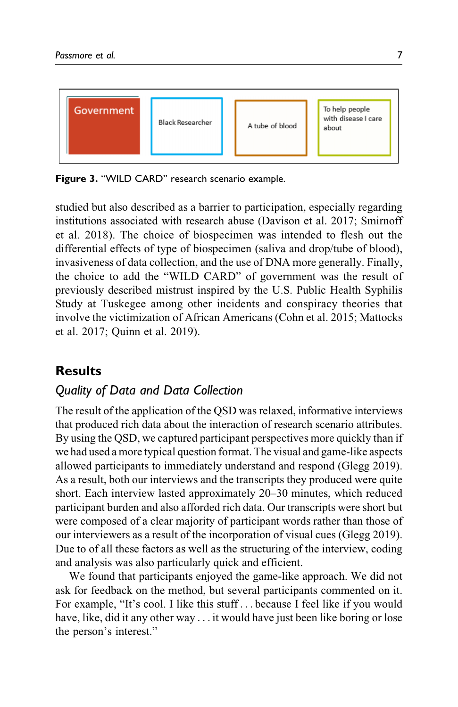

**Figure 3.** "WILD CARD" research scenario example.

studied but also described as a barrier to participation, especially regarding institutions associated with research abuse (Davison et al. 2017; Smirnoff et al. 2018). The choice of biospecimen was intended to flesh out the differential effects of type of biospecimen (saliva and drop/tube of blood), invasiveness of data collection, and the use of DNA more generally. Finally, the choice to add the "WILD CARD" of government was the result of previously described mistrust inspired by the U.S. Public Health Syphilis Study at Tuskegee among other incidents and conspiracy theories that involve the victimization of African Americans (Cohn et al. 2015; Mattocks et al. 2017; Quinn et al. 2019).

# **Results**

# *Quality of Data and Data Collection*

The result of the application of the QSD was relaxed, informative interviews that produced rich data about the interaction of research scenario attributes. By using the QSD, we captured participant perspectives more quickly than if we had used a more typical question format. The visual and game-like aspects allowed participants to immediately understand and respond (Glegg 2019). As a result, both our interviews and the transcripts they produced were quite short. Each interview lasted approximately 20–30 minutes, which reduced participant burden and also afforded rich data. Our transcripts were short but were composed of a clear majority of participant words rather than those of our interviewers as a result of the incorporation of visual cues (Glegg 2019). Due to of all these factors as well as the structuring of the interview, coding and analysis was also particularly quick and efficient.

We found that participants enjoyed the game-like approach. We did not ask for feedback on the method, but several participants commented on it. For example, "It's cool. I like this stuff ... because I feel like if you would have, like, did it any other way . . . it would have just been like boring or lose the person's interest."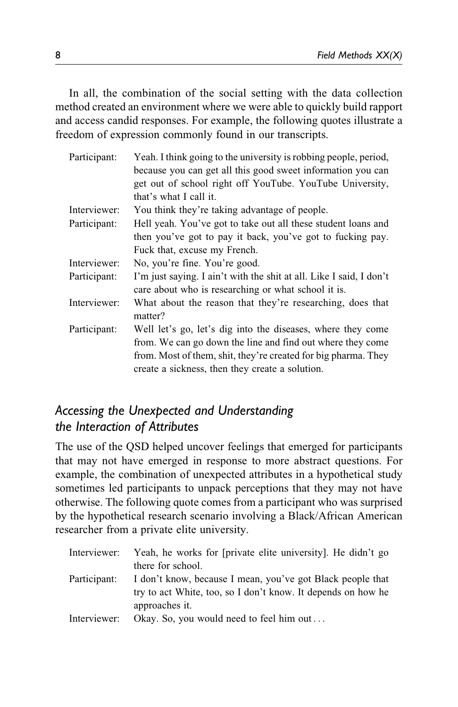In all, the combination of the social setting with the data collection method created an environment where we were able to quickly build rapport and access candid responses. For example, the following quotes illustrate a freedom of expression commonly found in our transcripts.

| Participant: | Yeah. I think going to the university is robbing people, period,<br>because you can get all this good sweet information you can<br>get out of school right off YouTube. YouTube University,<br>that's what I call it.                          |
|--------------|------------------------------------------------------------------------------------------------------------------------------------------------------------------------------------------------------------------------------------------------|
| Interviewer: | You think they're taking advantage of people.                                                                                                                                                                                                  |
| Participant: | Hell yeah. You've got to take out all these student loans and                                                                                                                                                                                  |
|              | then you've got to pay it back, you've got to fucking pay.                                                                                                                                                                                     |
|              | Fuck that, excuse my French.                                                                                                                                                                                                                   |
| Interviewer: | No, you're fine. You're good.                                                                                                                                                                                                                  |
| Participant: | I'm just saying. I ain't with the shit at all. Like I said, I don't<br>care about who is researching or what school it is.                                                                                                                     |
| Interviewer: | What about the reason that they're researching, does that<br>matter?                                                                                                                                                                           |
| Participant: | Well let's go, let's dig into the diseases, where they come<br>from. We can go down the line and find out where they come<br>from. Most of them, shit, they're created for big pharma. They<br>create a sickness, then they create a solution. |

### *Accessing the Unexpected and Understanding the Interaction of Attributes*

The use of the QSD helped uncover feelings that emerged for participants that may not have emerged in response to more abstract questions. For example, the combination of unexpected attributes in a hypothetical study sometimes led participants to unpack perceptions that they may not have otherwise. The following quote comes from a participant who was surprised by the hypothetical research scenario involving a Black/African American researcher from a private elite university.

| Interviewer: | Yeah, he works for [private elite university]. He didn't go  |
|--------------|--------------------------------------------------------------|
|              | there for school.                                            |
| Participant: | I don't know, because I mean, you've got Black people that   |
|              | try to act White, too, so I don't know. It depends on how he |
|              | approaches it.                                               |
| Interviewer: | Okay. So, you would need to feel him out                     |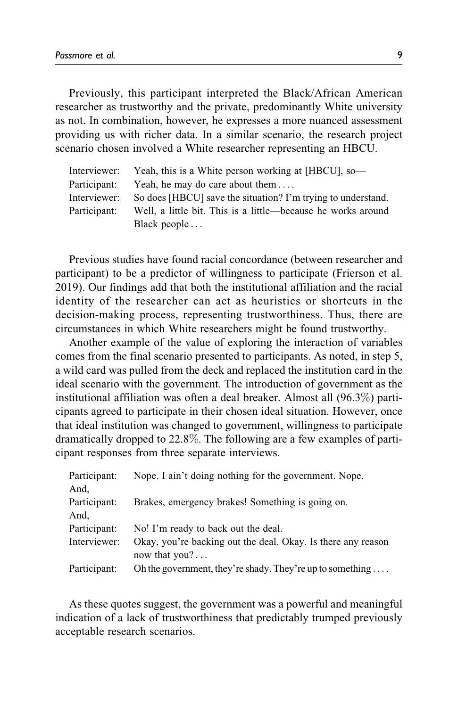Previously, this participant interpreted the Black/African American researcher as trustworthy and the private, predominantly White university as not. In combination, however, he expresses a more nuanced assessment providing us with richer data. In a similar scenario, the research project scenario chosen involved a White researcher representing an HBCU.

| Interviewer: | Yeah, this is a White person working at [HBCU], so-          |
|--------------|--------------------------------------------------------------|
| Participant: | Yeah, he may do care about them                              |
| Interviewer: | So does [HBCU] save the situation? I'm trying to understand. |
| Participant: | Well, a little bit. This is a little—because he works around |
|              | Black people $\dots$                                         |

Previous studies have found racial concordance (between researcher and participant) to be a predictor of willingness to participate (Frierson et al. 2019). Our findings add that both the institutional affiliation and the racial identity of the researcher can act as heuristics or shortcuts in the decision-making process, representing trustworthiness. Thus, there are circumstances in which White researchers might be found trustworthy.

Another example of the value of exploring the interaction of variables comes from the final scenario presented to participants. As noted, in step 5, a wild card was pulled from the deck and replaced the institution card in the ideal scenario with the government. The introduction of government as the institutional affiliation was often a deal breaker. Almost all (96.3%) participants agreed to participate in their chosen ideal situation. However, once that ideal institution was changed to government, willingness to participate dramatically dropped to 22.8%. The following are a few examples of participant responses from three separate interviews.

| Participant: | Nope. I ain't doing nothing for the government. Nope.                           |
|--------------|---------------------------------------------------------------------------------|
| And.         |                                                                                 |
| Participant: | Brakes, emergency brakes! Something is going on.                                |
| And,         |                                                                                 |
| Participant: | No! I'm ready to back out the deal.                                             |
| Interviewer: | Okay, you're backing out the deal. Okay. Is there any reason<br>now that $you?$ |
| Participant: | Oh the government, they're shady. They're up to something                       |

As these quotes suggest, the government was a powerful and meaningful indication of a lack of trustworthiness that predictably trumped previously acceptable research scenarios.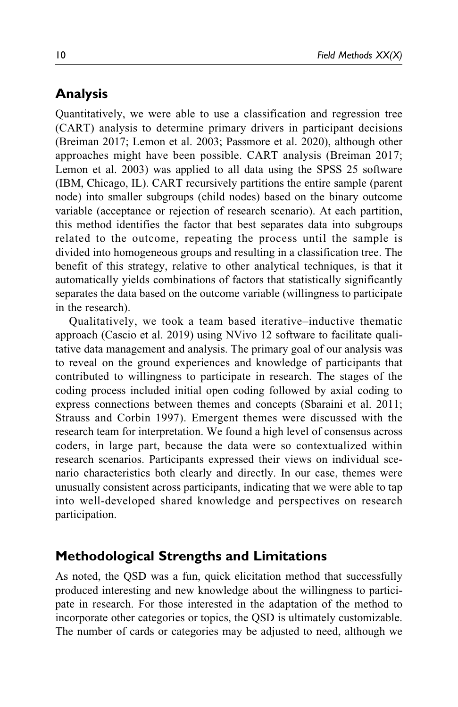# **Analysis**

Quantitatively, we were able to use a classification and regression tree (CART) analysis to determine primary drivers in participant decisions (Breiman 2017; Lemon et al. 2003; Passmore et al. 2020), although other approaches might have been possible. CART analysis (Breiman 2017; Lemon et al. 2003) was applied to all data using the SPSS 25 software (IBM, Chicago, IL). CART recursively partitions the entire sample (parent node) into smaller subgroups (child nodes) based on the binary outcome variable (acceptance or rejection of research scenario). At each partition, this method identifies the factor that best separates data into subgroups related to the outcome, repeating the process until the sample is divided into homogeneous groups and resulting in a classification tree. The benefit of this strategy, relative to other analytical techniques, is that it automatically yields combinations of factors that statistically significantly separates the data based on the outcome variable (willingness to participate in the research).

Qualitatively, we took a team based iterative–inductive thematic approach (Cascio et al. 2019) using NVivo 12 software to facilitate qualitative data management and analysis. The primary goal of our analysis was to reveal on the ground experiences and knowledge of participants that contributed to willingness to participate in research. The stages of the coding process included initial open coding followed by axial coding to express connections between themes and concepts (Sbaraini et al. 2011; Strauss and Corbin 1997). Emergent themes were discussed with the research team for interpretation. We found a high level of consensus across coders, in large part, because the data were so contextualized within research scenarios. Participants expressed their views on individual scenario characteristics both clearly and directly. In our case, themes were unusually consistent across participants, indicating that we were able to tap into well-developed shared knowledge and perspectives on research participation.

# **Methodological Strengths and Limitations**

As noted, the QSD was a fun, quick elicitation method that successfully produced interesting and new knowledge about the willingness to participate in research. For those interested in the adaptation of the method to incorporate other categories or topics, the QSD is ultimately customizable. The number of cards or categories may be adjusted to need, although we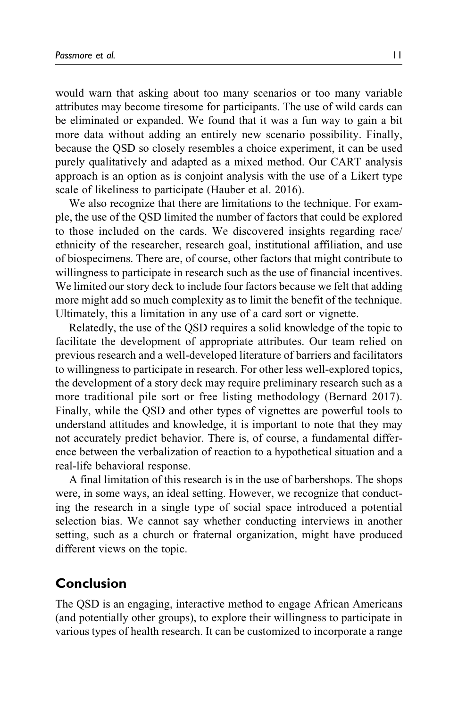would warn that asking about too many scenarios or too many variable attributes may become tiresome for participants. The use of wild cards can be eliminated or expanded. We found that it was a fun way to gain a bit more data without adding an entirely new scenario possibility. Finally, because the QSD so closely resembles a choice experiment, it can be used purely qualitatively and adapted as a mixed method. Our CART analysis approach is an option as is conjoint analysis with the use of a Likert type scale of likeliness to participate (Hauber et al. 2016).

We also recognize that there are limitations to the technique. For example, the use of the QSD limited the number of factors that could be explored to those included on the cards. We discovered insights regarding race/ ethnicity of the researcher, research goal, institutional affiliation, and use of biospecimens. There are, of course, other factors that might contribute to willingness to participate in research such as the use of financial incentives. We limited our story deck to include four factors because we felt that adding more might add so much complexity as to limit the benefit of the technique. Ultimately, this a limitation in any use of a card sort or vignette.

Relatedly, the use of the QSD requires a solid knowledge of the topic to facilitate the development of appropriate attributes. Our team relied on previous research and a well-developed literature of barriers and facilitators to willingness to participate in research. For other less well-explored topics, the development of a story deck may require preliminary research such as a more traditional pile sort or free listing methodology (Bernard 2017). Finally, while the QSD and other types of vignettes are powerful tools to understand attitudes and knowledge, it is important to note that they may not accurately predict behavior. There is, of course, a fundamental difference between the verbalization of reaction to a hypothetical situation and a real-life behavioral response.

A final limitation of this research is in the use of barbershops. The shops were, in some ways, an ideal setting. However, we recognize that conducting the research in a single type of social space introduced a potential selection bias. We cannot say whether conducting interviews in another setting, such as a church or fraternal organization, might have produced different views on the topic.

### **Conclusion**

The QSD is an engaging, interactive method to engage African Americans (and potentially other groups), to explore their willingness to participate in various types of health research. It can be customized to incorporate a range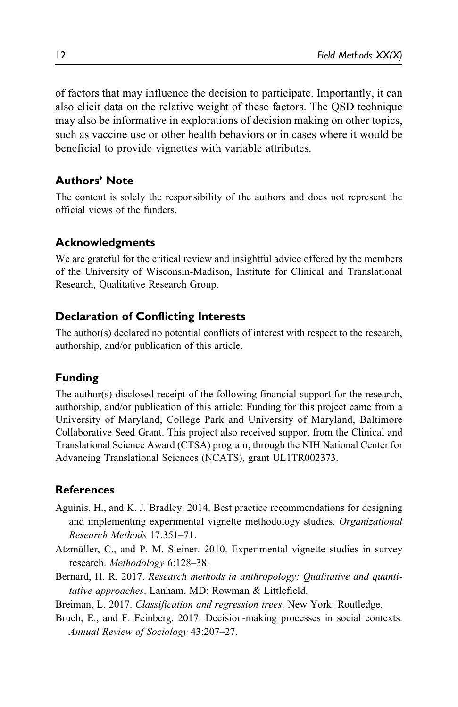of factors that may influence the decision to participate. Importantly, it can also elicit data on the relative weight of these factors. The QSD technique may also be informative in explorations of decision making on other topics, such as vaccine use or other health behaviors or in cases where it would be beneficial to provide vignettes with variable attributes.

### **Authors' Note**

The content is solely the responsibility of the authors and does not represent the official views of the funders.

#### **Acknowledgments**

We are grateful for the critical review and insightful advice offered by the members of the University of Wisconsin-Madison, Institute for Clinical and Translational Research, Qualitative Research Group.

#### **Declaration of Conflicting Interests**

The author(s) declared no potential conflicts of interest with respect to the research, authorship, and/or publication of this article.

#### **Funding**

The author(s) disclosed receipt of the following financial support for the research, authorship, and/or publication of this article: Funding for this project came from a University of Maryland, College Park and University of Maryland, Baltimore Collaborative Seed Grant. This project also received support from the Clinical and Translational Science Award (CTSA) program, through the NIH National Center for Advancing Translational Sciences (NCATS), grant UL1TR002373.

#### **References**

- Aguinis, H., and K. J. Bradley. 2014. Best practice recommendations for designing and implementing experimental vignette methodology studies. Organizational Research Methods 17:351–71.
- Atzmüller, C., and P. M. Steiner. 2010. Experimental vignette studies in survey research. Methodology 6:128–38.
- Bernard, H. R. 2017. Research methods in anthropology: Qualitative and quantitative approaches. Lanham, MD: Rowman & Littlefield.

Breiman, L. 2017. Classification and regression trees. New York: Routledge.

Bruch, E., and F. Feinberg. 2017. Decision-making processes in social contexts. Annual Review of Sociology 43:207–27.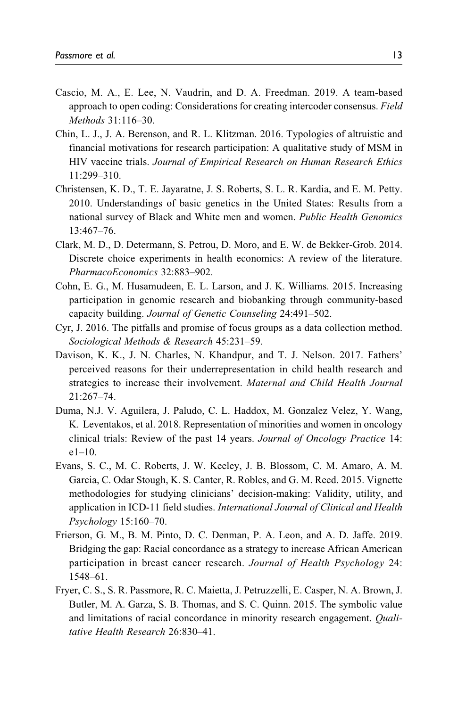- Cascio, M. A., E. Lee, N. Vaudrin, and D. A. Freedman. 2019. A team-based approach to open coding: Considerations for creating intercoder consensus. Field Methods 31:116–30.
- Chin, L. J., J. A. Berenson, and R. L. Klitzman. 2016. Typologies of altruistic and financial motivations for research participation: A qualitative study of MSM in HIV vaccine trials. Journal of Empirical Research on Human Research Ethics 11:299–310.
- Christensen, K. D., T. E. Jayaratne, J. S. Roberts, S. L. R. Kardia, and E. M. Petty. 2010. Understandings of basic genetics in the United States: Results from a national survey of Black and White men and women. Public Health Genomics 13:467–76.
- Clark, M. D., D. Determann, S. Petrou, D. Moro, and E. W. de Bekker-Grob. 2014. Discrete choice experiments in health economics: A review of the literature. PharmacoEconomics 32:883–902.
- Cohn, E. G., M. Husamudeen, E. L. Larson, and J. K. Williams. 2015. Increasing participation in genomic research and biobanking through community-based capacity building. Journal of Genetic Counseling 24:491–502.
- Cyr, J. 2016. The pitfalls and promise of focus groups as a data collection method. Sociological Methods & Research 45:231–59.
- Davison, K. K., J. N. Charles, N. Khandpur, and T. J. Nelson. 2017. Fathers' perceived reasons for their underrepresentation in child health research and strategies to increase their involvement. Maternal and Child Health Journal 21:267–74.
- Duma, N.J. V. Aguilera, J. Paludo, C. L. Haddox, M. Gonzalez Velez, Y. Wang, K. Leventakos, et al. 2018. Representation of minorities and women in oncology clinical trials: Review of the past 14 years. Journal of Oncology Practice 14: e1–10.
- Evans, S. C., M. C. Roberts, J. W. Keeley, J. B. Blossom, C. M. Amaro, A. M. Garcia, C. Odar Stough, K. S. Canter, R. Robles, and G. M. Reed. 2015. Vignette methodologies for studying clinicians' decision-making: Validity, utility, and application in ICD-11 field studies. International Journal of Clinical and Health Psychology 15:160–70.
- Frierson, G. M., B. M. Pinto, D. C. Denman, P. A. Leon, and A. D. Jaffe. 2019. Bridging the gap: Racial concordance as a strategy to increase African American participation in breast cancer research. Journal of Health Psychology 24: 1548–61.
- Fryer, C. S., S. R. Passmore, R. C. Maietta, J. Petruzzelli, E. Casper, N. A. Brown, J. Butler, M. A. Garza, S. B. Thomas, and S. C. Quinn. 2015. The symbolic value and limitations of racial concordance in minority research engagement. Qualitative Health Research 26:830–41.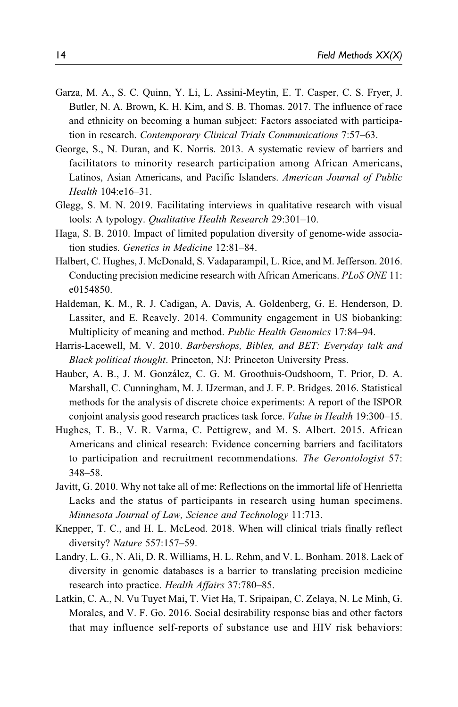- Garza, M. A., S. C. Quinn, Y. Li, L. Assini-Meytin, E. T. Casper, C. S. Fryer, J. Butler, N. A. Brown, K. H. Kim, and S. B. Thomas. 2017. The influence of race and ethnicity on becoming a human subject: Factors associated with participation in research. Contemporary Clinical Trials Communications 7:57–63.
- George, S., N. Duran, and K. Norris. 2013. A systematic review of barriers and facilitators to minority research participation among African Americans, Latinos, Asian Americans, and Pacific Islanders. American Journal of Public Health 104:e16–31.
- Glegg, S. M. N. 2019. Facilitating interviews in qualitative research with visual tools: A typology. Qualitative Health Research 29:301–10.
- Haga, S. B. 2010. Impact of limited population diversity of genome-wide association studies. Genetics in Medicine 12:81–84.
- Halbert, C. Hughes, J. McDonald, S. Vadaparampil, L. Rice, and M. Jefferson. 2016. Conducting precision medicine research with African Americans. PLoS ONE 11: e0154850.
- Haldeman, K. M., R. J. Cadigan, A. Davis, A. Goldenberg, G. E. Henderson, D. Lassiter, and E. Reavely. 2014. Community engagement in US biobanking: Multiplicity of meaning and method. Public Health Genomics 17:84–94.
- Harris-Lacewell, M. V. 2010. Barbershops, Bibles, and BET: Everyday talk and Black political thought. Princeton, NJ: Princeton University Press.
- Hauber, A. B., J. M. González, C. G. M. Groothuis-Oudshoorn, T. Prior, D. A. Marshall, C. Cunningham, M. J. IJzerman, and J. F. P. Bridges. 2016. Statistical methods for the analysis of discrete choice experiments: A report of the ISPOR conjoint analysis good research practices task force. Value in Health 19:300–15.
- Hughes, T. B., V. R. Varma, C. Pettigrew, and M. S. Albert. 2015. African Americans and clinical research: Evidence concerning barriers and facilitators to participation and recruitment recommendations. The Gerontologist 57: 348–58.
- Javitt, G. 2010. Why not take all of me: Reflections on the immortal life of Henrietta Lacks and the status of participants in research using human specimens. Minnesota Journal of Law, Science and Technology 11:713.
- Knepper, T. C., and H. L. McLeod. 2018. When will clinical trials finally reflect diversity? Nature 557:157–59.
- Landry, L. G., N. Ali, D. R. Williams, H. L. Rehm, and V. L. Bonham. 2018. Lack of diversity in genomic databases is a barrier to translating precision medicine research into practice. Health Affairs 37:780–85.
- Latkin, C. A., N. Vu Tuyet Mai, T. Viet Ha, T. Sripaipan, C. Zelaya, N. Le Minh, G. Morales, and V. F. Go. 2016. Social desirability response bias and other factors that may influence self-reports of substance use and HIV risk behaviors: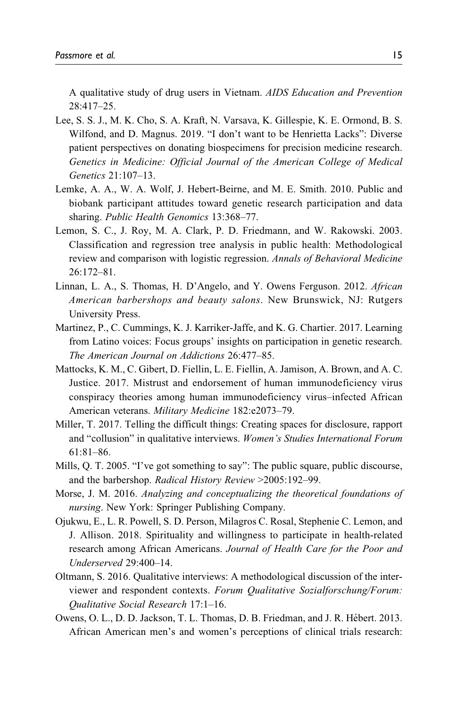A qualitative study of drug users in Vietnam. AIDS Education and Prevention 28:417–25.

- Lee, S. S. J., M. K. Cho, S. A. Kraft, N. Varsava, K. Gillespie, K. E. Ormond, B. S. Wilfond, and D. Magnus. 2019. "I don't want to be Henrietta Lacks": Diverse patient perspectives on donating biospecimens for precision medicine research. Genetics in Medicine: Official Journal of the American College of Medical Genetics 21:107–13.
- Lemke, A. A., W. A. Wolf, J. Hebert-Beirne, and M. E. Smith. 2010. Public and biobank participant attitudes toward genetic research participation and data sharing. Public Health Genomics 13:368–77.
- Lemon, S. C., J. Roy, M. A. Clark, P. D. Friedmann, and W. Rakowski. 2003. Classification and regression tree analysis in public health: Methodological review and comparison with logistic regression. Annals of Behavioral Medicine 26:172–81.
- Linnan, L. A., S. Thomas, H. D'Angelo, and Y. Owens Ferguson. 2012. African American barbershops and beauty salons. New Brunswick, NJ: Rutgers University Press.
- Martinez, P., C. Cummings, K. J. Karriker-Jaffe, and K. G. Chartier. 2017. Learning from Latino voices: Focus groups' insights on participation in genetic research. The American Journal on Addictions 26:477–85.
- Mattocks, K. M., C. Gibert, D. Fiellin, L. E. Fiellin, A. Jamison, A. Brown, and A. C. Justice. 2017. Mistrust and endorsement of human immunodeficiency virus conspiracy theories among human immunodeficiency virus–infected African American veterans. Military Medicine 182:e2073–79.
- Miller, T. 2017. Telling the difficult things: Creating spaces for disclosure, rapport and "collusion" in qualitative interviews. Women's Studies International Forum 61:81–86.
- Mills, Q. T. 2005. "I've got something to say": The public square, public discourse, and the barbershop. Radical History Review >2005:192–99.
- Morse, J. M. 2016. Analyzing and conceptualizing the theoretical foundations of nursing. New York: Springer Publishing Company.
- Ojukwu, E., L. R. Powell, S. D. Person, Milagros C. Rosal, Stephenie C. Lemon, and J. Allison. 2018. Spirituality and willingness to participate in health-related research among African Americans. Journal of Health Care for the Poor and Underserved 29:400–14.
- Oltmann, S. 2016. Qualitative interviews: A methodological discussion of the interviewer and respondent contexts. Forum Qualitative Sozialforschung/Forum: Qualitative Social Research 17:1–16.
- Owens, O. L., D. D. Jackson, T. L. Thomas, D. B. Friedman, and J. R. Hébert. 2013. African American men's and women's perceptions of clinical trials research: